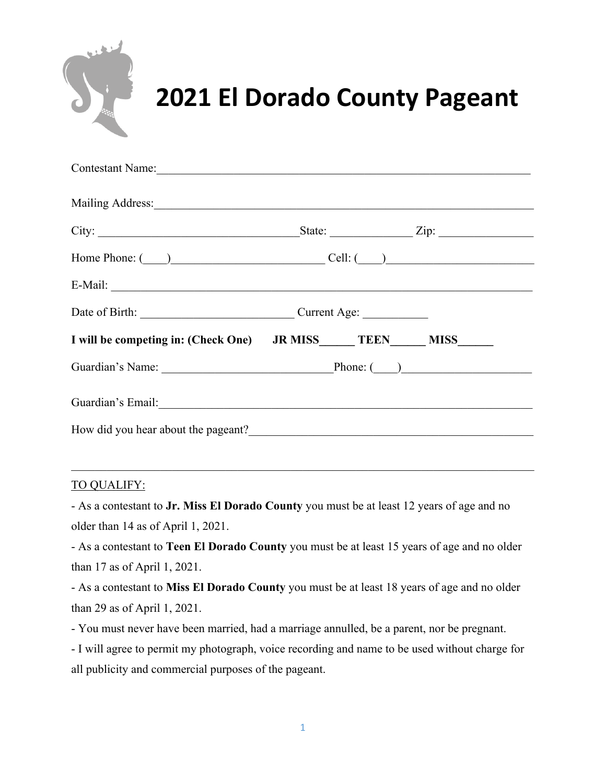

# **2021 El Dorado County Pageant**

| City:                       |  |                                                                                                                                                                                                                                                                                                                                                                                                                                                                                                                                                                                                                                                                                                                 |
|-----------------------------|--|-----------------------------------------------------------------------------------------------------------------------------------------------------------------------------------------------------------------------------------------------------------------------------------------------------------------------------------------------------------------------------------------------------------------------------------------------------------------------------------------------------------------------------------------------------------------------------------------------------------------------------------------------------------------------------------------------------------------|
|                             |  |                                                                                                                                                                                                                                                                                                                                                                                                                                                                                                                                                                                                                                                                                                                 |
|                             |  |                                                                                                                                                                                                                                                                                                                                                                                                                                                                                                                                                                                                                                                                                                                 |
| Date of Birth: Current Age: |  |                                                                                                                                                                                                                                                                                                                                                                                                                                                                                                                                                                                                                                                                                                                 |
|                             |  |                                                                                                                                                                                                                                                                                                                                                                                                                                                                                                                                                                                                                                                                                                                 |
|                             |  |                                                                                                                                                                                                                                                                                                                                                                                                                                                                                                                                                                                                                                                                                                                 |
|                             |  |                                                                                                                                                                                                                                                                                                                                                                                                                                                                                                                                                                                                                                                                                                                 |
|                             |  |                                                                                                                                                                                                                                                                                                                                                                                                                                                                                                                                                                                                                                                                                                                 |
|                             |  | Contestant Name:<br>Mailing Address: 1988 and 1989 and 1989 and 1989 and 1989 and 1989 and 1989 and 1989 and 1989 and 1989 and 198<br>Home Phone: $\qquad)$ Cell: $\qquad)$<br>I will be competing in: (Check One) JR MISS TEEN MISS<br>Guardian's Name: Phone: (Department of the Phone: (Department of the Phone: (Department of the Phone: (Department of the Phone: (Department of the Phone: (Department of the Phone: (Department of the Phone: (Department of t<br>How did you hear about the pageant?<br><u>Letting and the substitute of the substitute of the substitute of the substitute</u> of the substitute of the substitute of the substitute of the substitute of the substitute of the subst |

### TO QUALIFY:

- As a contestant to **Jr. Miss El Dorado County** you must be at least 12 years of age and no older than 14 as of April 1, 2021.

- As a contestant to **Teen El Dorado County** you must be at least 15 years of age and no older than 17 as of April 1, 2021.

- As a contestant to **Miss El Dorado County** you must be at least 18 years of age and no older than 29 as of April 1, 2021.

- You must never have been married, had a marriage annulled, be a parent, nor be pregnant.

- I will agree to permit my photograph, voice recording and name to be used without charge for all publicity and commercial purposes of the pageant.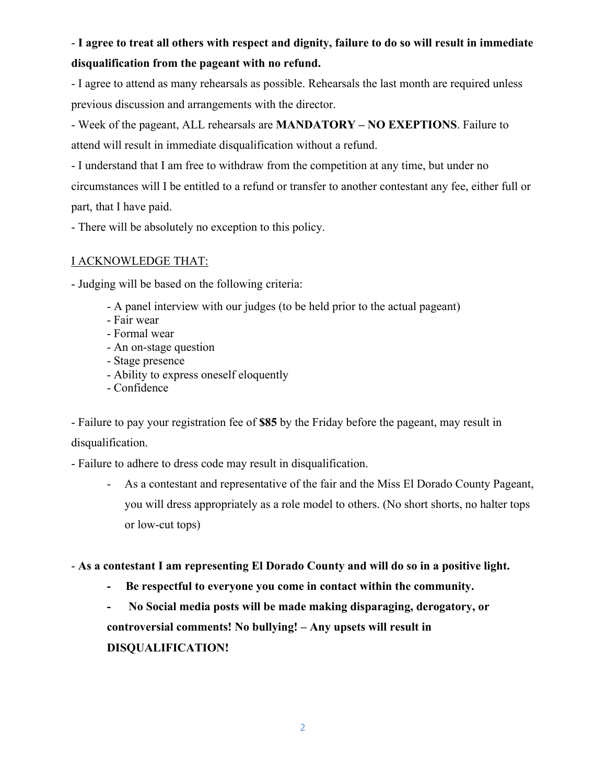# - **I agree to treat all others with respect and dignity, failure to do so will result in immediate disqualification from the pageant with no refund.**

- I agree to attend as many rehearsals as possible. Rehearsals the last month are required unless previous discussion and arrangements with the director.

- Week of the pageant, ALL rehearsals are **MANDATORY – NO EXEPTIONS**. Failure to attend will result in immediate disqualification without a refund.

- I understand that I am free to withdraw from the competition at any time, but under no circumstances will I be entitled to a refund or transfer to another contestant any fee, either full or part, that I have paid.

- There will be absolutely no exception to this policy.

## I ACKNOWLEDGE THAT:

- Judging will be based on the following criteria:

- A panel interview with our judges (to be held prior to the actual pageant)
- Fair wear
- Formal wear
- An on-stage question
- Stage presence
- Ability to express oneself eloquently
- Confidence

- Failure to pay your registration fee of **\$85** by the Friday before the pageant, may result in disqualification.

- Failure to adhere to dress code may result in disqualification.

- As a contestant and representative of the fair and the Miss El Dorado County Pageant, you will dress appropriately as a role model to others. (No short shorts, no halter tops or low-cut tops)

- **As a contestant I am representing El Dorado County and will do so in a positive light.**

**- Be respectful to everyone you come in contact within the community.**

**- No Social media posts will be made making disparaging, derogatory, or controversial comments! No bullying! – Any upsets will result in DISQUALIFICATION!**